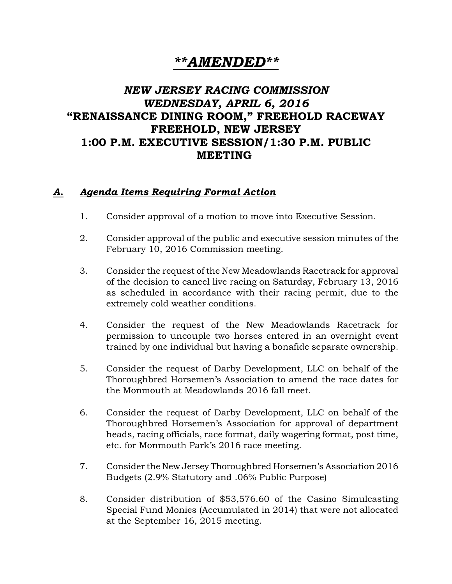## *\*\*AMENDED\*\**

## *NEW JERSEY RACING COMMISSION WEDNESDAY, APRIL 6, 2016* "RENAISSANCE DINING ROOM," FREEHOLD RACEWAY FREEHOLD, NEW JERSEY 1:00 P.M. EXECUTIVE SESSION/1:30 P.M. PUBLIC MEETING

## *A. Agenda Items Requiring Formal Action*

- 1. Consider approval of a motion to move into Executive Session.
- 2. Consider approval of the public and executive session minutes of the February 10, 2016 Commission meeting.
- 3. Consider the request of the New Meadowlands Racetrack for approval of the decision to cancel live racing on Saturday, February 13, 2016 as scheduled in accordance with their racing permit, due to the extremely cold weather conditions.
- 4. Consider the request of the New Meadowlands Racetrack for permission to uncouple two horses entered in an overnight event trained by one individual but having a bonafide separate ownership.
- 5. Consider the request of Darby Development, LLC on behalf of the Thoroughbred Horsemen's Association to amend the race dates for the Monmouth at Meadowlands 2016 fall meet.
- 6. Consider the request of Darby Development, LLC on behalf of the Thoroughbred Horsemen's Association for approval of department heads, racing officials, race format, daily wagering format, post time, etc. for Monmouth Park's 2016 race meeting.
- 7. Consider the New Jersey Thoroughbred Horsemen's Association 2016 Budgets (2.9% Statutory and .06% Public Purpose)
- 8. Consider distribution of \$53,576.60 of the Casino Simulcasting Special Fund Monies (Accumulated in 2014) that were not allocated at the September 16, 2015 meeting.